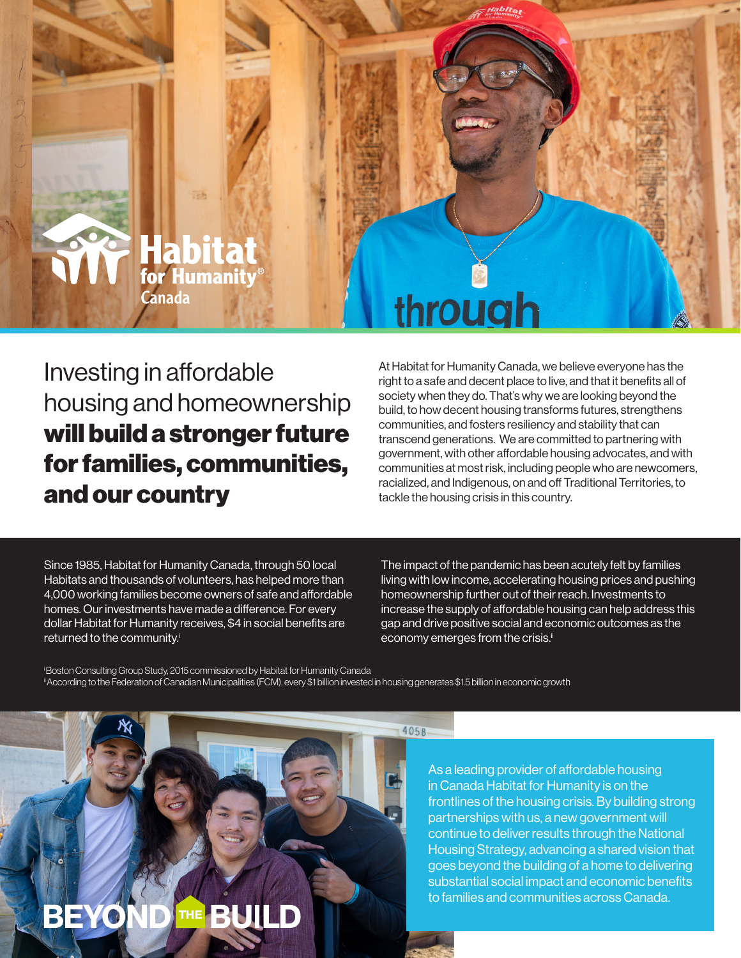

Investing in affordable housing and homeownership will build a stronger future for families, communities, and our country

At Habitat for Humanity Canada, we believe everyone has the right to a safe and decent place to live, and that it benefits all of society when they do. That's why we are looking beyond the build, to how decent housing transforms futures, strengthens communities, and fosters resiliency and stability that can transcend generations. We are committed to partnering with government, with other affordable housing advocates, and with communities at most risk, including people who are newcomers, racialized, and Indigenous, on and off Traditional Territories, to tackle the housing crisis in this country.

Since 1985, Habitat for Humanity Canada, through 50 local Habitats and thousands of volunteers, has helped more than 4,000 working families become owners of safe and affordable homes. Our investments have made a difference. For every dollar Habitat for Humanity receives, \$4 in social benefits are returned to the community.<sup>i</sup>

The impact of the pandemic has been acutely felt by families living with low income, accelerating housing prices and pushing homeownership further out of their reach. Investments to increase the supply of affordable housing can help address this gap and drive positive social and economic outcomes as the economy emerges from the crisis.<sup>ii</sup>

i Boston Consulting Group Study, 2015 commissioned by Habitat for Humanity Canada According to the Federation of Canadian Municipalities (FCM), every \$1 billion invested in housing generates \$1.5 billion in economic growth

 $4058$ 



As a leading provider of affordable housing in Canada Habitat for Humanity is on the frontlines of the housing crisis. By building strong partnerships with us, a new government will continue to deliver results through the National Housing Strategy, advancing a shared vision that goes beyond the building of a home to delivering substantial social impact and economic benefits to families and communities across Canada.